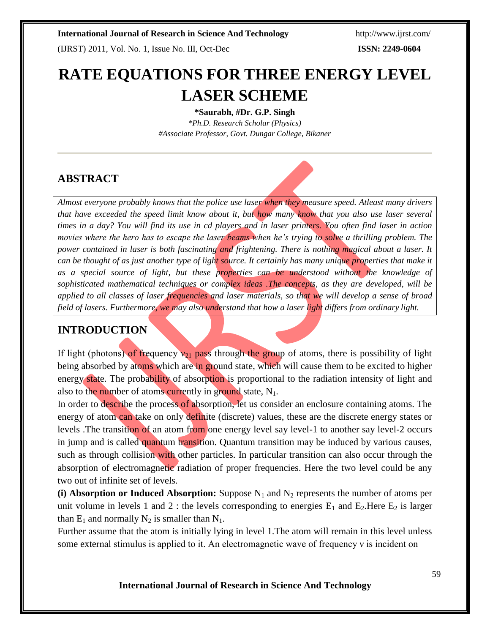(IJRST) 2011, Vol. No. 1, Issue No. III, Oct-Dec **ISSN: 2249-0604**

# **RATE EQUATIONS FOR THREE ENERGY LEVEL LASER SCHEME**

**\*Saurabh, #Dr. G.P. Singh**

*\*Ph.D. Research Scholar (Physics) #Associate Professor, Govt. Dungar College, Bikaner*

# **ABSTRACT**

*Almost everyone probably knows that the police use laser when they measure speed. Atleast many drivers that have exceeded the speed limit know about it, but how many know that you also use laser several times in a day? You will find its use in cd players and in laser printers. You often find laser in action movies where the hero has to escape the laser beams when he's trying to solve a thrilling problem. The power contained in laser is both fascinating and frightening. There is nothing magical about a laser. It can be thought of as just another type of light source. It certainly has many unique properties that make it* as a special source of light, but these properties can be understood without the knowledge of *sophisticated mathematical techniques or complex ideas .The concepts, as they are developed, will be applied to all classes of laser frequencies and laser materials, so that we will develop a sense of broad field of lasers. Furthermore, we may also understand that how a laser light differs from ordinary light.*

# **INTRODUCTION**

If light (photons) of frequency  $v_{21}$  pass through the group of atoms, there is possibility of light being absorbed by atoms which are in ground state, which will cause them to be excited to higher energy state. The probability of absorption is proportional to the radiation intensity of light and also to the number of atoms currently in ground state,  $N_1$ .

In order to describe the process of absorption, let us consider an enclosure containing atoms. The energy of atom can take on only definite (discrete) values, these are the discrete energy states or levels .The transition of an atom from one energy level say level-1 to another say level-2 occurs in jump and is called quantum transition. Quantum transition may be induced by various causes, such as through collision with other particles. In particular transition can also occur through the absorption of electromagnetic radiation of proper frequencies. Here the two level could be any two out of infinite set of levels.

**(i) Absorption or Induced Absorption:** Suppose  $N_1$  and  $N_2$  represents the number of atoms per unit volume in levels 1 and 2 : the levels corresponding to energies  $E_1$  and  $E_2$ . Here  $E_2$  is larger than  $E_1$  and normally  $N_2$  is smaller than  $N_1$ .

Further assume that the atom is initially lying in level 1.The atom will remain in this level unless some external stimulus is applied to it. An electromagnetic wave of frequency ν is incident on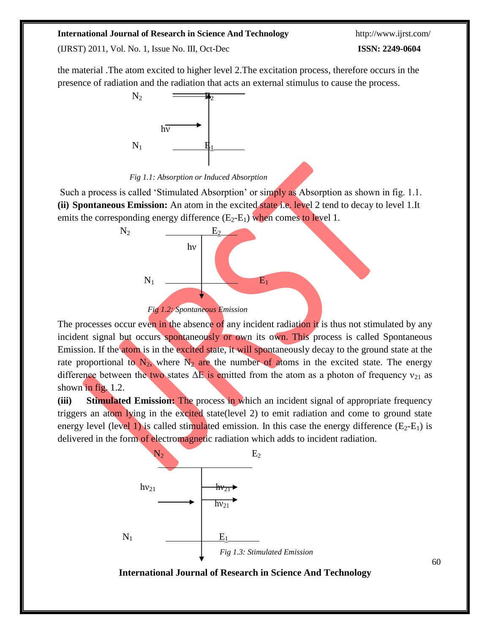(IJRST) 2011, Vol. No. 1, Issue No. III, Oct-Dec **ISSN: 2249-0604**

the material .The atom excited to higher level 2.The excitation process, therefore occurs in the presence of radiation and the radiation that acts an external stimulus to cause the process.



*Fig 1.1: Absorption or Induced Absorption*

Such a process is called 'Stimulated Absorption' or simply as Absorption as shown in fig. 1.1. **(ii) Spontaneous Emission:** An atom in the excited state i.e. level 2 tend to decay to level 1.It emits the corresponding energy difference  $(E_2-E_1)$  when comes to level 1.



The processes occur even in the absence of any incident radiation it is thus not stimulated by any incident signal but occurs spontaneously or own its own. This process is called Spontaneous Emission. If the atom is in the excited state, it will spontaneously decay to the ground state at the rate proportional to  $N_2$ , where  $N_2$  are the number of atoms in the excited state. The energy difference between the two states  $\Delta E$  is emitted from the atom as a photon of frequency  $v_{21}$  as shown in fig. 1.2.

**(iii) Stimulated Emission:** The process in which an incident signal of appropriate frequency triggers an atom lying in the excited state(level 2) to emit radiation and come to ground state energy level (level 1) is called stimulated emission. In this case the energy difference  $(E_2-E_1)$  is delivered in the form of electromagnetic radiation which adds to incident radiation.

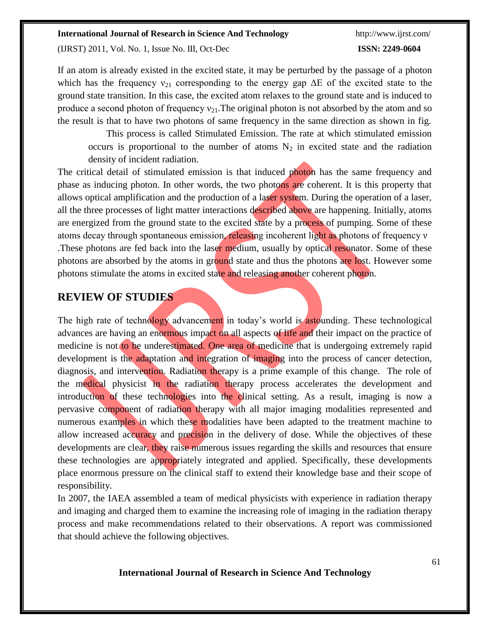(IJRST) 2011, Vol. No. 1, Issue No. III, Oct-Dec **ISSN: 2249-0604**

If an atom is already existed in the excited state, it may be perturbed by the passage of a photon which has the frequency  $v_{21}$  corresponding to the energy gap  $\Delta E$  of the excited state to the ground state transition. In this case, the excited atom relaxes to the ground state and is induced to produce a second photon of frequency  $v_{21}$ . The original photon is not absorbed by the atom and so the result is that to have two photons of same frequency in the same direction as shown in fig.

This process is called Stimulated Emission. The rate at which stimulated emission occurs is proportional to the number of atoms  $N_2$  in excited state and the radiation density of incident radiation.

The critical detail of stimulated emission is that induced photon has the same frequency and phase as inducing photon. In other words, the two photons are coherent. It is this property that allows optical amplification and the production of a laser system. During the operation of a laser, all the three processes of light matter interactions described above are happening. Initially, atoms are energized from the ground state to the excited state by a process of pumping. Some of these atoms decay through spontaneous emission, releasing incoherent light as photons of frequency ν .These photons are fed back into the laser medium, usually by optical resonator. Some of these photons are absorbed by the atoms in ground state and thus the photons are lost. However some photons stimulate the atoms in excited state and releasing another coherent photon.

## **REVIEW OF STUDIES**

The high rate of technology advancement in today's world is astounding. These technological advances are having an enormous impact on all aspects of life and their impact on the practice of medicine is not to be underestimated. One area of medicine that is undergoing extremely rapid development is the adaptation and integration of imaging into the process of cancer detection, diagnosis, and intervention. Radiation therapy is a prime example of this change. The role of the medical physicist in the radiation therapy process accelerates the development and introduction of these technologies into the clinical setting. As a result, imaging is now a pervasive component of radiation therapy with all major imaging modalities represented and numerous examples in which these modalities have been adapted to the treatment machine to allow increased accuracy and precision in the delivery of dose. While the objectives of these developments are clear, they raise numerous issues regarding the skills and resources that ensure these technologies are appropriately integrated and applied. Specifically, these developments place enormous pressure on the clinical staff to extend their knowledge base and their scope of responsibility.

In 2007, the IAEA assembled a team of medical physicists with experience in radiation therapy and imaging and charged them to examine the increasing role of imaging in the radiation therapy process and make recommendations related to their observations. A report was commissioned that should achieve the following objectives.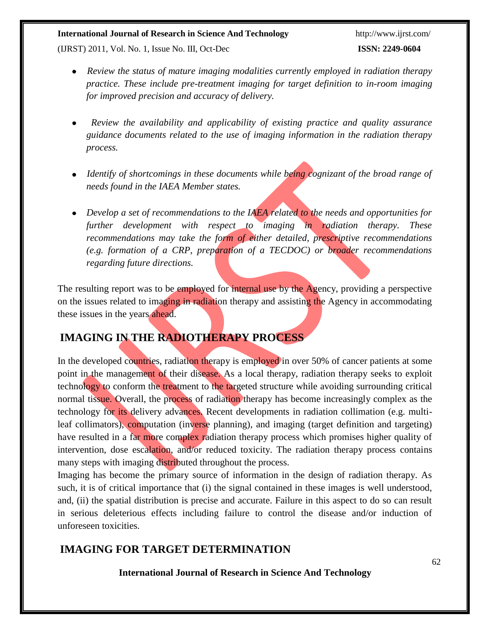(IJRST) 2011, Vol. No. 1, Issue No. III, Oct-Dec **ISSN: 2249-0604**

- *Review the status of mature imaging modalities currently employed in radiation therapy practice. These include pre-treatment imaging for target definition to in-room imaging for improved precision and accuracy of delivery.*
- *Review the availability and applicability of existing practice and quality assurance guidance documents related to the use of imaging information in the radiation therapy process.*
- Identify of shortcomings in these documents while being cognizant of the broad range of *needs found in the IAEA Member states.*
- *Develop a set of recommendations to the IAEA related to the needs and opportunities for further development with respect to imaging in radiation therapy. These recommendations may take the form of either detailed, prescriptive recommendations (e.g. formation of a CRP, preparation of a TECDOC) or broader recommendations regarding future directions.*

The resulting report was to be employed for internal use by the Agency, providing a perspective on the issues related to imaging in radiation therapy and assisting the Agency in accommodating these issues in the years ahead.

# **IMAGING IN THE RADIOTHERAPY PROCESS**

In the developed countries, radiation therapy is employed in over 50% of cancer patients at some point in the management of their disease. As a local therapy, radiation therapy seeks to exploit technology to conform the treatment to the targeted structure while avoiding surrounding critical normal tissue. Overall, the process of radiation therapy has become increasingly complex as the technology for its delivery advances. Recent developments in radiation collimation (e.g. multileaf collimators), computation (inverse planning), and imaging (target definition and targeting) have resulted in a far more complex radiation therapy process which promises higher quality of intervention, dose escalation, and/or reduced toxicity. The radiation therapy process contains many steps with imaging distributed throughout the process.

Imaging has become the primary source of information in the design of radiation therapy. As such, it is of critical importance that (i) the signal contained in these images is well understood, and, (ii) the spatial distribution is precise and accurate. Failure in this aspect to do so can result in serious deleterious effects including failure to control the disease and/or induction of unforeseen toxicities.

# **IMAGING FOR TARGET DETERMINATION**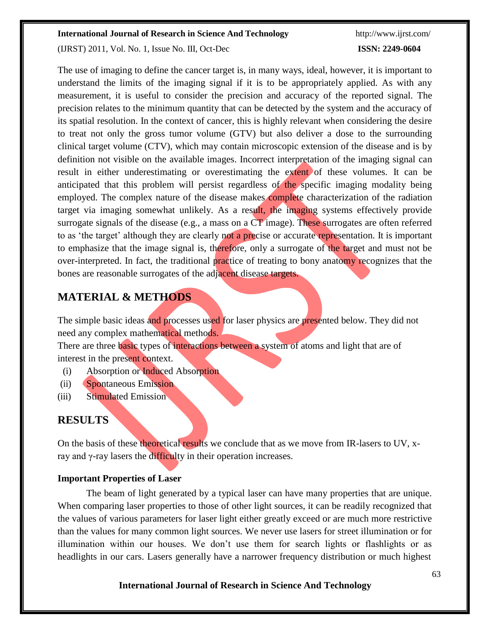(IJRST) 2011, Vol. No. 1, Issue No. III, Oct-Dec **ISSN: 2249-0604**

The use of imaging to define the cancer target is, in many ways, ideal, however, it is important to understand the limits of the imaging signal if it is to be appropriately applied. As with any measurement, it is useful to consider the precision and accuracy of the reported signal. The precision relates to the minimum quantity that can be detected by the system and the accuracy of its spatial resolution. In the context of cancer, this is highly relevant when considering the desire to treat not only the gross tumor volume (GTV) but also deliver a dose to the surrounding clinical target volume (CTV), which may contain microscopic extension of the disease and is by definition not visible on the available images. Incorrect interpretation of the imaging signal can result in either underestimating or overestimating the extent of these volumes. It can be anticipated that this problem will persist regardless of the specific imaging modality being employed. The complex nature of the disease makes complete characterization of the radiation target via imaging somewhat unlikely. As a result, the imaging systems effectively provide surrogate signals of the disease (e.g., a mass on a CT image). These surrogates are often referred to as 'the target' although they are clearly not a precise or accurate representation. It is important to emphasize that the image signal is, therefore, only a surrogate of the target and must not be over-interpreted. In fact, the traditional practice of treating to bony anatomy recognizes that the bones are reasonable surrogates of the adjacent disease targets.

## **MATERIAL & METHODS**

The simple basic ideas and processes used for laser physics are presented below. They did not need any complex mathematical methods.

There are three basic types of interactions between a system of atoms and light that are of interest in the present context.

- (i) Absorption or Induced Absorption
- (ii) Spontaneous Emission
- (iii) Stimulated Emission

# **RESULTS**

On the basis of these theoretical results we conclude that as we move from IR-lasers to UV, xray and γ-ray lasers the difficulty in their operation increases.

#### **Important Properties of Laser**

The beam of light generated by a typical laser can have many properties that are unique. When comparing laser properties to those of other light sources, it can be readily recognized that the values of various parameters for laser light either greatly exceed or are much more restrictive than the values for many common light sources. We never use lasers for street illumination or for illumination within our houses. We don't use them for search lights or flashlights or as headlights in our cars. Lasers generally have a narrower frequency distribution or much highest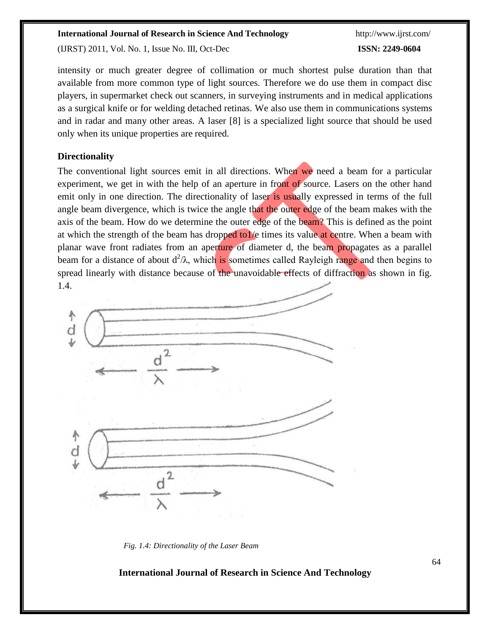(IJRST) 2011, Vol. No. 1, Issue No. III, Oct-Dec **ISSN: 2249-0604**

intensity or much greater degree of collimation or much shortest pulse duration than that available from more common type of light sources. Therefore we do use them in compact disc players, in supermarket check out scanners, in surveying instruments and in medical applications as a surgical knife or for welding detached retinas. We also use them in communications systems and in radar and many other areas. A laser [8] is a specialized light source that should be used only when its unique properties are required.

#### **Directionality**

The conventional light sources emit in all directions. When we need a beam for a particular experiment, we get in with the help of an aperture in front of source. Lasers on the other hand emit only in one direction. The directionality of laser is usually expressed in terms of the full angle beam divergence, which is twice the angle that the outer edge of the beam makes with the axis of the beam. How do we determine the outer edge of the beam? This is defined as the point at which the strength of the beam has dropped to1/e times its value at centre. When a beam with planar wave front radiates from an aperture of diameter d, the beam propagates as a parallel beam for a distance of about d<sup>2</sup>/λ, which is sometimes called Rayleigh range and then begins to spread linearly with distance because of the unavoidable effects of diffraction as shown in fig. 1.4.



*Fig. 1.4: Directionality of the Laser Beam*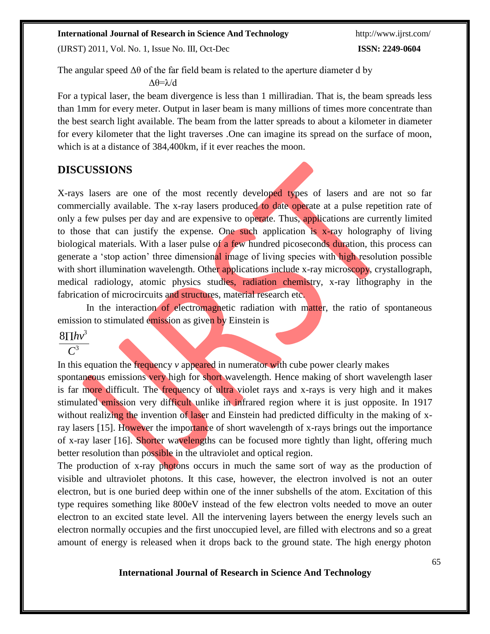(IJRST) 2011, Vol. No. 1, Issue No. III, Oct-Dec **ISSN: 2249-0604**

The angular speed  $\Delta\theta$  of the far field beam is related to the aperture diameter d by

Δθ=λ/d

For a typical laser, the beam divergence is less than 1 milliradian. That is, the beam spreads less than 1mm for every meter. Output in laser beam is many millions of times more concentrate than the best search light available. The beam from the latter spreads to about a kilometer in diameter for every kilometer that the light traverses .One can imagine its spread on the surface of moon, which is at a distance of 384,400km, if it ever reaches the moon.

## **DISCUSSIONS**

X-rays lasers are one of the most recently developed types of lasers and are not so far commercially available. The x-ray lasers produced to date operate at a pulse repetition rate of only a few pulses per day and are expensive to operate. Thus, applications are currently limited to those that can justify the expense. One such application is x-ray holography of living biological materials. With a laser pulse of a few hundred picoseconds duration, this process can generate a 'stop action' three dimensional image of living species with high resolution possible with short illumination wavelength. Other applications include x-ray microscopy, crystallograph, medical radiology, atomic physics studies, radiation chemistry, x-ray lithography in the fabrication of microcircuits and structures, material research etc.

In the interaction of electromagnetic radiation with matter, the ratio of spontaneous emission to stimulated emission as given by Einstein is

## $8 \Pi h v^3$

*C* 3

In this equation the frequency *v* appeared in numerator with cube power clearly makes spontaneous emissions very high for short wavelength. Hence making of short wavelength laser is far more difficult. The frequency of ultra violet rays and x-rays is very high and it makes stimulated emission very difficult unlike in infrared region where it is just opposite. In 1917 without realizing the invention of laser and Einstein had predicted difficulty in the making of xray lasers [15]. However the importance of short wavelength of x-rays brings out the importance of x-ray laser [16]. Shorter wavelengths can be focused more tightly than light, offering much better resolution than possible in the ultraviolet and optical region.

The production of x-ray photons occurs in much the same sort of way as the production of visible and ultraviolet photons. It this case, however, the electron involved is not an outer electron, but is one buried deep within one of the inner subshells of the atom. Excitation of this type requires something like 800eV instead of the few electron volts needed to move an outer electron to an excited state level. All the intervening layers between the energy levels such an electron normally occupies and the first unoccupied level, are filled with electrons and so a great amount of energy is released when it drops back to the ground state. The high energy photon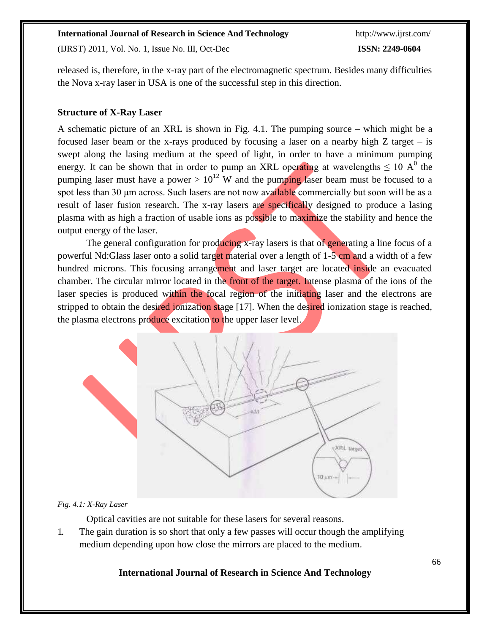(IJRST) 2011, Vol. No. 1, Issue No. III, Oct-Dec **ISSN: 2249-0604**

released is, therefore, in the x-ray part of the electromagnetic spectrum. Besides many difficulties the Nova x-ray laser in USA is one of the successful step in this direction.

#### **Structure of X-Ray Laser**

A schematic picture of an XRL is shown in Fig. 4.1. The pumping source – which might be a focused laser beam or the x-rays produced by focusing a laser on a nearby high  $Z$  target – is swept along the lasing medium at the speed of light, in order to have a minimum pumping energy. It can be shown that in order to pump an XRL operating at wavelengths  $\leq 10$  A<sup>0</sup> the pumping laser must have a power  $> 10^{12}$  W and the pumping laser beam must be focused to a spot less than 30 μm across. Such lasers are not now available commercially but soon will be as a result of laser fusion research. The x-ray lasers are specifically designed to produce a lasing plasma with as high a fraction of usable ions as possible to maximize the stability and hence the output energy of the laser.

The general configuration for producing x-ray lasers is that of generating a line focus of a powerful Nd:Glass laser onto a solid target material over a length of 1-5 cm and a width of a few hundred microns. This focusing arrangement and laser target are located inside an evacuated chamber. The circular mirror located in the front of the target. Intense plasma of the ions of the laser species is produced within the focal region of the initiating laser and the electrons are stripped to obtain the desired ionization stage [17]. When the desired ionization stage is reached, the plasma electrons produce excitation to the upper laser level.



#### *Fig. 4.1: X-Ray Laser*

Optical cavities are not suitable for these lasers for several reasons.

1. The gain duration is so short that only a few passes will occur though the amplifying medium depending upon how close the mirrors are placed to the medium.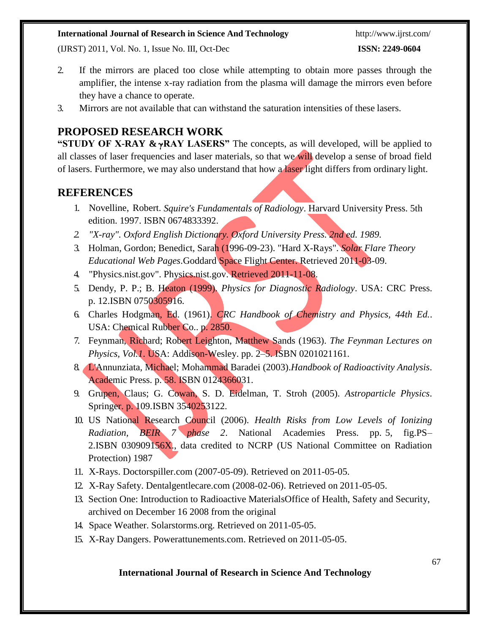(IJRST) 2011, Vol. No. 1, Issue No. III, Oct-Dec **ISSN: 2249-0604**

- 2. If the mirrors are placed too close while attempting to obtain more passes through the amplifier, the intense x-ray radiation from the plasma will damage the mirrors even before they have a chance to operate.
- 3. Mirrors are not available that can withstand the saturation intensities of these lasers.

# **PROPOSED RESEARCH WORK**

"STUDY OF X-RAY &  $\gamma$ RAY LASERS" The concepts, as will developed, will be applied to all classes of laser frequencies and laser materials, so that we will develop a sense of broad field of lasers. Furthermore, we may also understand that how a laser light differs from ordinary light.

## **REFERENCES**

- 1. Novelline, Robert. *Squire's Fundamentals of Radiology*. Harvard University Press. 5thedition. 1997. ISBN 0674833392.
- *2. ["X-ray"](http://oed.com/search?searchType=dictionary&q=X-ray). Oxford English Dictionary. Oxford University Press. 2nd ed. 1989.*
- 3. Holman, Gordon; Benedict, Sarah (1996-09-23). "Hard X-Rays". *Solar Flare Theory Educational Web Pages*.Goddard Space Flight Center. Retrieved 2011-03-09.
- 4. "Physics.nist.gov". Physics.nist.gov. Retrieved 2011-11-08.
- 5. Dendy, P. P.; B. Heaton (1999). *Physics for Diagnostic Radiology*. USA: CRC Press. p. 12[.ISBN](http://en.wikipedia.org/wiki/International_Standard_Book_Number) 0750305916.
- 6. Charles Hodgman, Ed. (1961). *CRC Handbook of Chemistry and Physics, 44th Ed.*. USA: Chemical Rubber Co.. p. 2850.
- 7. Feynman, Richard; Robert Leighton, Matthew Sands (1963). *The Feynman Lectures on Physics, Vol.1*. USA: Addison-Wesley. pp. 2–5. [ISBN 0](http://en.wikipedia.org/wiki/International_Standard_Book_Number)201021161.
- 8. L'Annunziata, Michael; Mohammad Baradei (2003).*Handbook of Radioactivity Analysis*. Academic Press. p. 58. ISBN 0124366031.
- 9. Grupen, Claus; G. Cowan, S. D. Eidelman, T. Stroh (2005). *Astroparticle Physics*. Springer. p. 109[.ISBN](http://en.wikipedia.org/wiki/International_Standard_Book_Number) 3540253122.
- 10. US National Research Council (2006). *Health Risks from Low Levels of Ionizing Radiation, BEIR 7 phase 2*. National Academies Press. pp. 5, fig.PS– 2.ISBN 030909156X., data credited to NCRP (US National Committee on Radiation Protection) 1987
- 11. X-Rays. Doctorspiller.com (2007-05-09). Retrieved on 2011-05-05.
- 12. X-Ray Safety. Dentalgentlecare.com (2008-02-06). Retrieved on 2011-05-05.
- 13. Section One: Introduction to Radioactive MaterialsOffice of Health, Safety and Security, archived on December 16 2008 from the original
- 14. [Space Weather.](http://www.solarstorms.org/SWChapter8.html) Solarstorms.org. Retrieved on 2011-05-05.
- 15. X-Ray Dangers. Powerattunements.com. Retrieved on 2011-05-05.